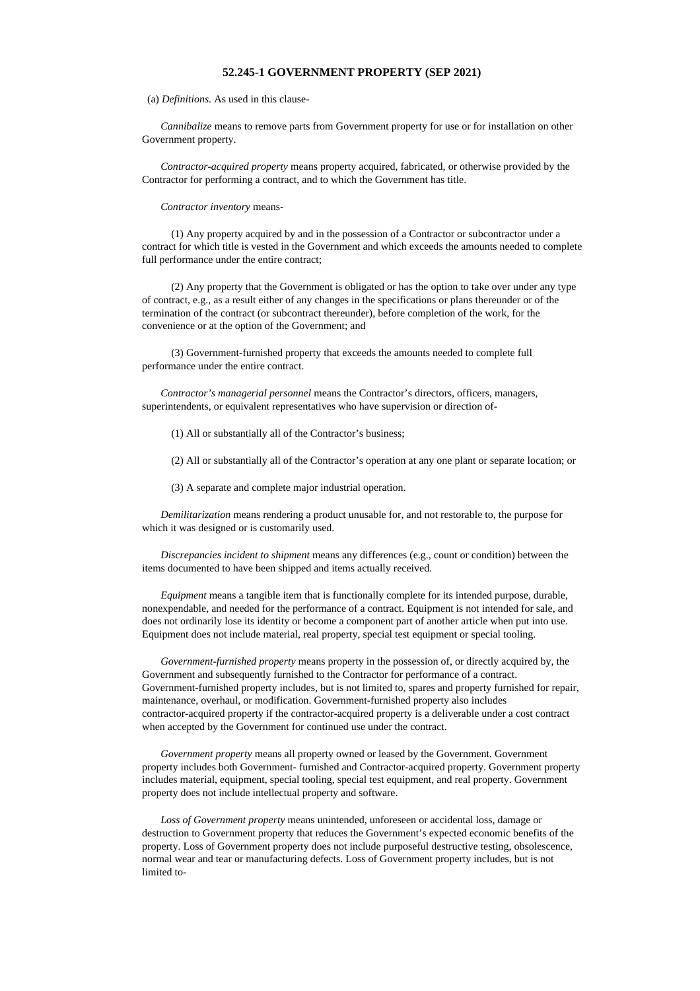# **52.245-1 GOVERNMENT PROPERTY (SEP 2021)**

(a) *Definitions.* As used in this clause-

*Cannibalize* means to remove parts from Government property for use or for installation on other Government property.

*Contractor-acquired property* means property acquired, fabricated, or otherwise provided by the Contractor for performing a contract, and to which the Government has title.

*Contractor inventory* means-

(1) Any property acquired by and in the possession of a Contractor or subcontractor under a contract for which title is vested in the Government and which exceeds the amounts needed to complete full performance under the entire contract;

(2) Any property that the Government is obligated or has the option to take over under any type of contract, e.g., as a result either of any changes in the specifications or plans thereunder or of the termination of the contract (or subcontract thereunder), before completion of the work, for the convenience or at the option of the Government; and

(3) Government-furnished property that exceeds the amounts needed to complete full performance under the entire contract.

*Contractor's managerial personnel* means the Contractor's directors, officers, managers, superintendents, or equivalent representatives who have supervision or direction of-

(1) All or substantially all of the Contractor's business;

(2) All or substantially all of the Contractor's operation at any one plant or separate location; or

(3) A separate and complete major industrial operation.

*Demilitarization* means rendering a product unusable for, and not restorable to, the purpose for which it was designed or is customarily used.

*Discrepancies incident to shipment* means any differences (e.g., count or condition) between the items documented to have been shipped and items actually received.

*Equipment* means a tangible item that is functionally complete for its intended purpose, durable, nonexpendable, and needed for the performance of a contract. Equipment is not intended for sale, and does not ordinarily lose its identity or become a component part of another article when put into use. Equipment does not include material, real property, special test equipment or special tooling.

*Government-furnished property* means property in the possession of, or directly acquired by, the Government and subsequently furnished to the Contractor for performance of a contract. Government-furnished property includes, but is not limited to, spares and property furnished for repair, maintenance, overhaul, or modification. Government-furnished property also includes contractor-acquired property if the contractor-acquired property is a deliverable under a cost contract when accepted by the Government for continued use under the contract.

*Government property* means all property owned or leased by the Government. Government property includes both Government- furnished and Contractor-acquired property. Government property includes material, equipment, special tooling, special test equipment, and real property. Government property does not include intellectual property and software.

*Loss of Government property* means unintended, unforeseen or accidental loss, damage or destruction to Government property that reduces the Government's expected economic benefits of the property. Loss of Government property does not include purposeful destructive testing, obsolescence, normal wear and tear or manufacturing defects. Loss of Government property includes, but is not limited to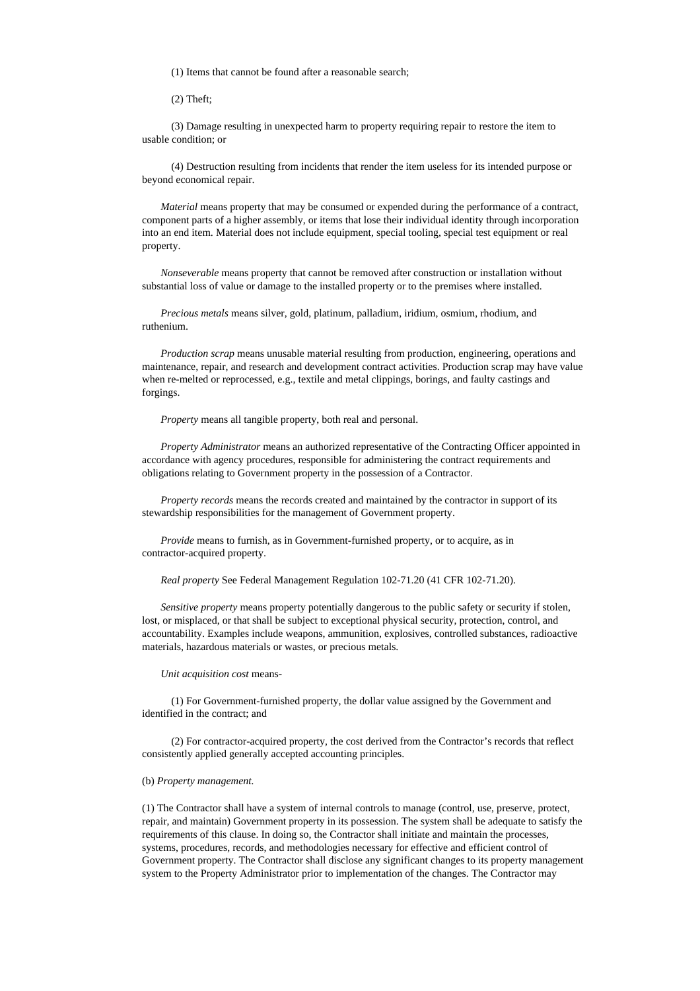(1) Items that cannot be found after a reasonable search;

(2) Theft;

(3) Damage resulting in unexpected harm to property requiring repair to restore the item to usable condition; or

(4) Destruction resulting from incidents that render the item useless for its intended purpose or beyond economical repair.

*Material* means property that may be consumed or expended during the performance of a contract, component parts of a higher assembly, or items that lose their individual identity through incorporation into an end item. Material does not include equipment, special tooling, special test equipment or real property.

*Nonseverable* means property that cannot be removed after construction or installation without substantial loss of value or damage to the installed property or to the premises where installed.

*Precious metals* means silver, gold, platinum, palladium, iridium, osmium, rhodium, and ruthenium.

*Production scrap* means unusable material resulting from production, engineering, operations and maintenance, repair, and research and development contract activities. Production scrap may have value when re-melted or reprocessed, e.g., textile and metal clippings, borings, and faulty castings and forgings.

*Property* means all tangible property, both real and personal.

*Property Administrator* means an authorized representative of the Contracting Officer appointed in accordance with agency procedures, responsible for administering the contract requirements and obligations relating to Government property in the possession of a Contractor.

*Property records* means the records created and maintained by the contractor in support of its stewardship responsibilities for the management of Government property.

*Provide* means to furnish, as in Government-furnished property, or to acquire, as in contractor-acquired property.

*Real property* See Federal Management Regulation 102-71.20 (41 CFR 102-71.20).

*Sensitive property* means property potentially dangerous to the public safety or security if stolen, lost, or misplaced, or that shall be subject to exceptional physical security, protection, control, and accountability. Examples include weapons, ammunition, explosives, controlled substances, radioactive materials, hazardous materials or wastes, or precious metals.

*Unit acquisition cost* means-

(1) For Government-furnished property, the dollar value assigned by the Government and identified in the contract; and

(2) For contractor-acquired property, the cost derived from the Contractor's records that reflect consistently applied generally accepted accounting principles.

## (b) *Property management.*

(1) The Contractor shall have a system of internal controls to manage (control, use, preserve, protect, repair, and maintain) Government property in its possession. The system shall be adequate to satisfy the requirements of this clause. In doing so, the Contractor shall initiate and maintain the processes, systems, procedures, records, and methodologies necessary for effective and efficient control of Government property. The Contractor shall disclose any significant changes to its property management system to the Property Administrator prior to implementation of the changes. The Contractor may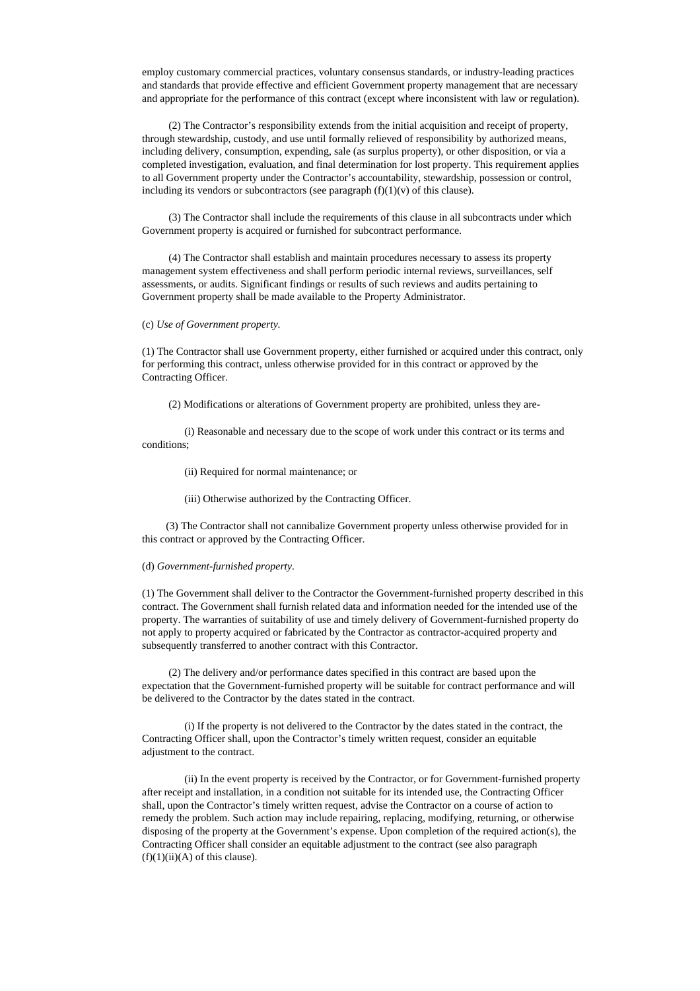employ customary commercial practices, voluntary consensus standards, or industry-leading practices and standards that provide effective and efficient Government property management that are necessary and appropriate for the performance of this contract (except where inconsistent with law or regulation).

(2) The Contractor's responsibility extends from the initial acquisition and receipt of property, through stewardship, custody, and use until formally relieved of responsibility by authorized means, including delivery, consumption, expending, sale (as surplus property), or other disposition, or via a completed investigation, evaluation, and final determination for lost property. This requirement applies to all Government property under the Contractor's accountability, stewardship, possession or control, including its vendors or subcontractors (see paragraph  $(f)(1)(v)$  of this clause).

(3) The Contractor shall include the requirements of this clause in all subcontracts under which Government property is acquired or furnished for subcontract performance.

(4) The Contractor shall establish and maintain procedures necessary to assess its property management system effectiveness and shall perform periodic internal reviews, surveillances, self assessments, or audits. Significant findings or results of such reviews and audits pertaining to Government property shall be made available to the Property Administrator.

#### (c) *Use of Government property.*

(1) The Contractor shall use Government property, either furnished or acquired under this contract, only for performing this contract, unless otherwise provided for in this contract or approved by the Contracting Officer.

(2) Modifications or alterations of Government property are prohibited, unless they are-

(i) Reasonable and necessary due to the scope of work under this contract or its terms and conditions;

(ii) Required for normal maintenance; or

(iii) Otherwise authorized by the Contracting Officer.

(3) The Contractor shall not cannibalize Government property unless otherwise provided for in this contract or approved by the Contracting Officer.

#### (d) *Government-furnished property.*

(1) The Government shall deliver to the Contractor the Government-furnished property described in this contract. The Government shall furnish related data and information needed for the intended use of the property. The warranties of suitability of use and timely delivery of Government-furnished property do not apply to property acquired or fabricated by the Contractor as contractor-acquired property and subsequently transferred to another contract with this Contractor.

(2) The delivery and/or performance dates specified in this contract are based upon the expectation that the Government-furnished property will be suitable for contract performance and will be delivered to the Contractor by the dates stated in the contract.

(i) If the property is not delivered to the Contractor by the dates stated in the contract, the Contracting Officer shall, upon the Contractor's timely written request, consider an equitable adjustment to the contract.

(ii) In the event property is received by the Contractor, or for Government-furnished property after receipt and installation, in a condition not suitable for its intended use, the Contracting Officer shall, upon the Contractor's timely written request, advise the Contractor on a course of action to remedy the problem. Such action may include repairing, replacing, modifying, returning, or otherwise disposing of the property at the Government's expense. Upon completion of the required action(s), the Contracting Officer shall consider an equitable adjustment to the contract (see also paragraph  $(f)(1)(ii)(A)$  of this clause).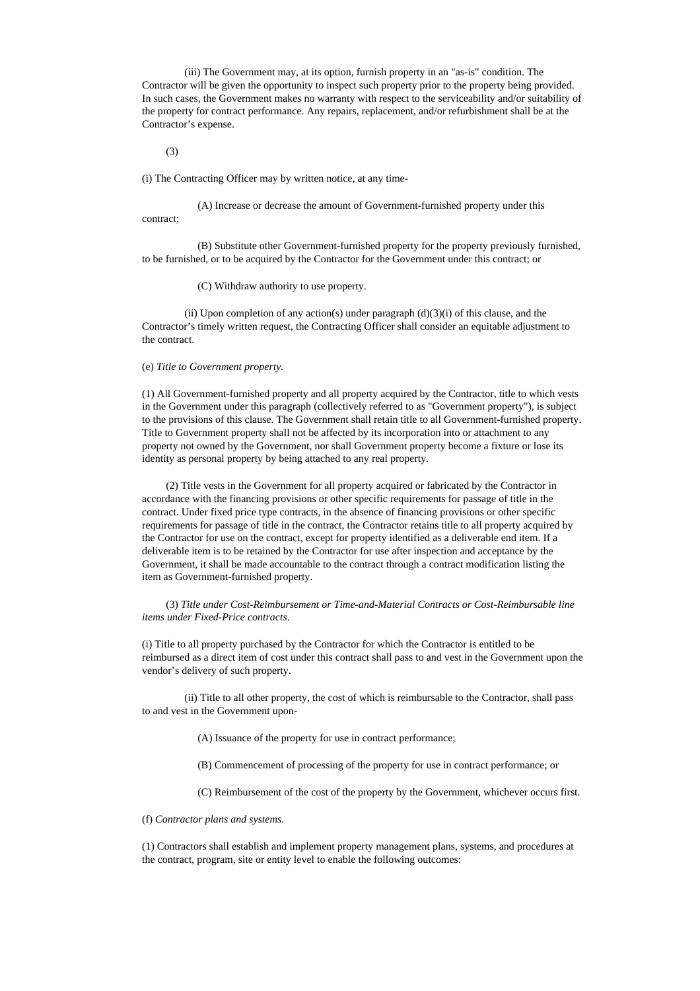(iii) The Government may, at its option, furnish property in an "as-is" condition. The Contractor will be given the opportunity to inspect such property prior to the property being provided. In such cases, the Government makes no warranty with respect to the serviceability and/or suitability of the property for contract performance. Any repairs, replacement, and/or refurbishment shall be at the Contractor's expense.

(3)

(i) The Contracting Officer may by written notice, at any time-

(A) Increase or decrease the amount of Government-furnished property under this contract;

(B) Substitute other Government-furnished property for the property previously furnished, to be furnished, or to be acquired by the Contractor for the Government under this contract; or

(C) Withdraw authority to use property.

(ii) Upon completion of any action(s) under paragraph  $(d)(3)(i)$  of this clause, and the Contractor's timely written request, the Contracting Officer shall consider an equitable adjustment to the contract.

(e) *Title to Government property.*

(1) All Government-furnished property and all property acquired by the Contractor, title to which vests in the Government under this paragraph (collectively referred to as "Government property"), is subject to the provisions of this clause. The Government shall retain title to all Government-furnished property. Title to Government property shall not be affected by its incorporation into or attachment to any property not owned by the Government, nor shall Government property become a fixture or lose its identity as personal property by being attached to any real property.

(2) Title vests in the Government for all property acquired or fabricated by the Contractor in accordance with the financing provisions or other specific requirements for passage of title in the contract. Under fixed price type contracts, in the absence of financing provisions or other specific requirements for passage of title in the contract, the Contractor retains title to all property acquired by the Contractor for use on the contract, except for property identified as a deliverable end item. If a deliverable item is to be retained by the Contractor for use after inspection and acceptance by the Government, it shall be made accountable to the contract through a contract modification listing the item as Government-furnished property.

(3) *Title under Cost-Reimbursement or Time-and-Material Contracts or Cost-Reimbursable line items under Fixed-Price contracts*.

(i) Title to all property purchased by the Contractor for which the Contractor is entitled to be reimbursed as a direct item of cost under this contract shall pass to and vest in the Government upon the vendor's delivery of such property.

(ii) Title to all other property, the cost of which is reimbursable to the Contractor, shall pass to and vest in the Government upon-

(A) Issuance of the property for use in contract performance;

(B) Commencement of processing of the property for use in contract performance; or

(C) Reimbursement of the cost of the property by the Government, whichever occurs first.

## (f) *Contractor plans and systems*.

(1) Contractors shall establish and implement property management plans, systems, and procedures at the contract, program, site or entity level to enable the following outcomes: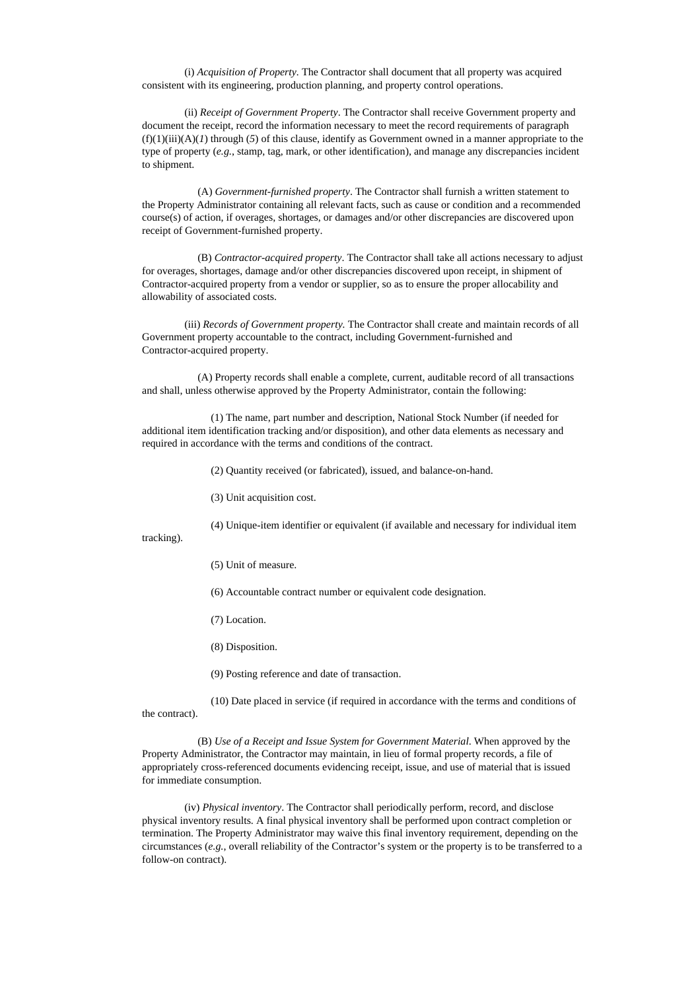(i) *Acquisition of Property.* The Contractor shall document that all property was acquired consistent with its engineering, production planning, and property control operations.

(ii) *Receipt of Government Property*. The Contractor shall receive Government property and document the receipt, record the information necessary to meet the record requirements of paragraph  $(f)(1)(iii)(A)(I)$  through (5) of this clause, identify as Government owned in a manner appropriate to the type of property (*e.g.*, stamp, tag, mark, or other identification), and manage any discrepancies incident to shipment.

(A) *Government-furnished property*. The Contractor shall furnish a written statement to the Property Administrator containing all relevant facts, such as cause or condition and a recommended course(s) of action, if overages, shortages, or damages and/or other discrepancies are discovered upon receipt of Government-furnished property.

(B) *Contractor-acquired property*. The Contractor shall take all actions necessary to adjust for overages, shortages, damage and/or other discrepancies discovered upon receipt, in shipment of Contractor-acquired property from a vendor or supplier, so as to ensure the proper allocability and allowability of associated costs.

(iii) *Records of Government property.* The Contractor shall create and maintain records of all Government property accountable to the contract, including Government-furnished and Contractor-acquired property.

(A) Property records shall enable a complete, current, auditable record of all transactions and shall, unless otherwise approved by the Property Administrator, contain the following:

(1) The name, part number and description, National Stock Number (if needed for additional item identification tracking and/or disposition), and other data elements as necessary and required in accordance with the terms and conditions of the contract.

(2) Quantity received (or fabricated), issued, and balance-on-hand.

(3) Unit acquisition cost.

(4) Unique-item identifier or equivalent (if available and necessary for individual item

tracking).

(5) Unit of measure.

(6) Accountable contract number or equivalent code designation.

(7) Location.

(8) Disposition.

(9) Posting reference and date of transaction.

(10) Date placed in service (if required in accordance with the terms and conditions of

the contract).

(B) *Use of a Receipt and Issue System for Government Material*. When approved by the Property Administrator, the Contractor may maintain, in lieu of formal property records, a file of appropriately cross-referenced documents evidencing receipt, issue, and use of material that is issued for immediate consumption.

(iv) *Physical inventory*. The Contractor shall periodically perform, record, and disclose physical inventory results. A final physical inventory shall be performed upon contract completion or termination. The Property Administrator may waive this final inventory requirement, depending on the circumstances (*e.g.*, overall reliability of the Contractor's system or the property is to be transferred to a follow-on contract).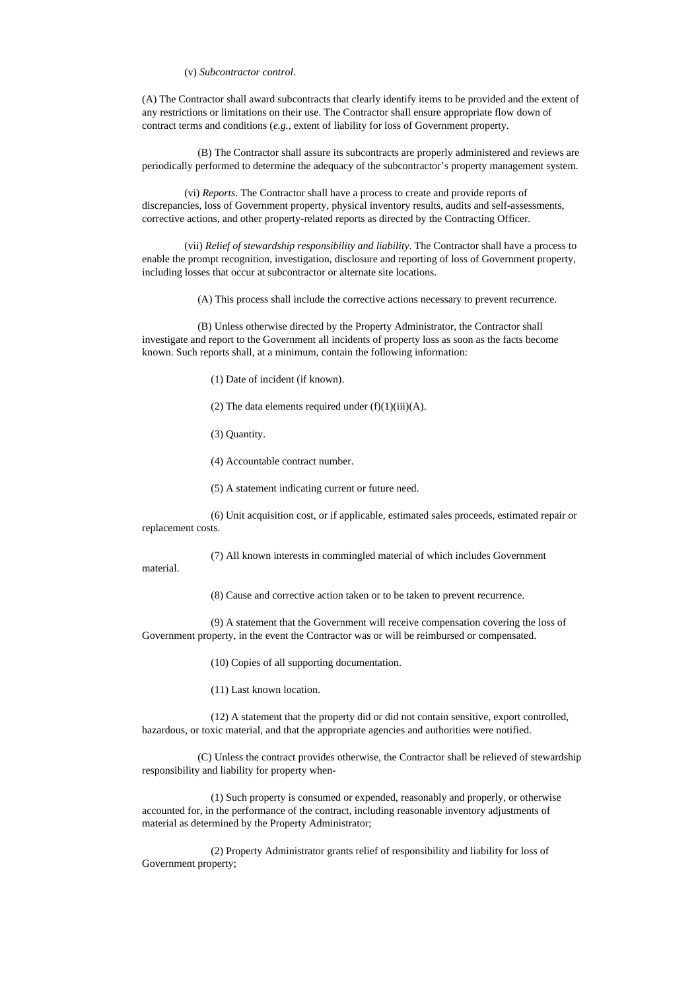### (v) *Subcontractor control*.

(A) The Contractor shall award subcontracts that clearly identify items to be provided and the extent of any restrictions or limitations on their use. The Contractor shall ensure appropriate flow down of contract terms and conditions (*e.g.*, extent of liability for loss of Government property.

(B) The Contractor shall assure its subcontracts are properly administered and reviews are periodically performed to determine the adequacy of the subcontractor's property management system.

(vi) *Reports*. The Contractor shall have a process to create and provide reports of discrepancies, loss of Government property, physical inventory results, audits and self-assessments, corrective actions, and other property-related reports as directed by the Contracting Officer.

(vii) *Relief of stewardship responsibility and liability*. The Contractor shall have a process to enable the prompt recognition, investigation, disclosure and reporting of loss of Government property, including losses that occur at subcontractor or alternate site locations.

(A) This process shall include the corrective actions necessary to prevent recurrence.

(B) Unless otherwise directed by the Property Administrator, the Contractor shall investigate and report to the Government all incidents of property loss as soon as the facts become known. Such reports shall, at a minimum, contain the following information:

(1) Date of incident (if known).

(2) The data elements required under  $(f)(1)(iii)(A)$ .

(3) Quantity.

(4) Accountable contract number.

(5) A statement indicating current or future need.

(6) Unit acquisition cost, or if applicable, estimated sales proceeds, estimated repair or replacement costs.

(7) All known interests in commingled material of which includes Government

material.

(8) Cause and corrective action taken or to be taken to prevent recurrence.

(9) A statement that the Government will receive compensation covering the loss of Government property, in the event the Contractor was or will be reimbursed or compensated.

(10) Copies of all supporting documentation.

(11) Last known location.

(12) A statement that the property did or did not contain sensitive, export controlled, hazardous, or toxic material, and that the appropriate agencies and authorities were notified.

(C) Unless the contract provides otherwise, the Contractor shall be relieved of stewardship responsibility and liability for property when-

(1) Such property is consumed or expended, reasonably and properly, or otherwise accounted for, in the performance of the contract, including reasonable inventory adjustments of material as determined by the Property Administrator;

(2) Property Administrator grants relief of responsibility and liability for loss of Government property;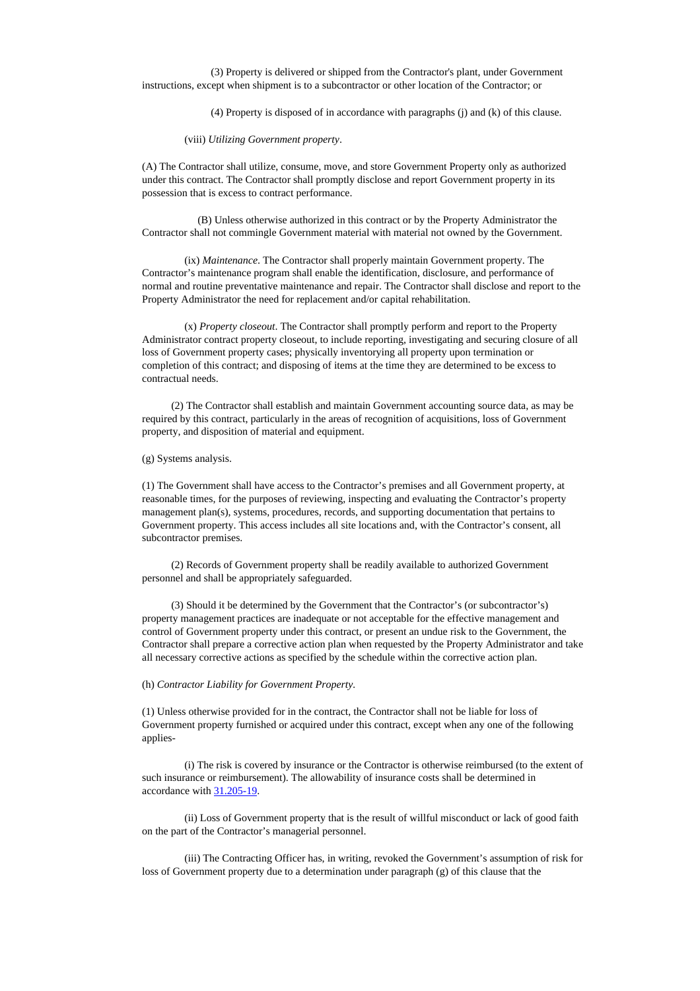(3) Property is delivered or shipped from the Contractor's plant, under Government instructions, except when shipment is to a subcontractor or other location of the Contractor; or

(4) Property is disposed of in accordance with paragraphs (j) and (k) of this clause.

(viii) *Utilizing Government property*.

(A) The Contractor shall utilize, consume, move, and store Government Property only as authorized under this contract. The Contractor shall promptly disclose and report Government property in its possession that is excess to contract performance.

(B) Unless otherwise authorized in this contract or by the Property Administrator the Contractor shall not commingle Government material with material not owned by the Government.

(ix) *Maintenance*. The Contractor shall properly maintain Government property. The Contractor's maintenance program shall enable the identification, disclosure, and performance of normal and routine preventative maintenance and repair. The Contractor shall disclose and report to the Property Administrator the need for replacement and/or capital rehabilitation.

(x) *Property closeout*. The Contractor shall promptly perform and report to the Property Administrator contract property closeout, to include reporting, investigating and securing closure of all loss of Government property cases; physically inventorying all property upon termination or completion of this contract; and disposing of items at the time they are determined to be excess to contractual needs.

(2) The Contractor shall establish and maintain Government accounting source data, as may be required by this contract, particularly in the areas of recognition of acquisitions, loss of Government property, and disposition of material and equipment.

(g) Systems analysis.

(1) The Government shall have access to the Contractor's premises and all Government property, at reasonable times, for the purposes of reviewing, inspecting and evaluating the Contractor's property management plan(s), systems, procedures, records, and supporting documentation that pertains to Government property. This access includes all site locations and, with the Contractor's consent, all subcontractor premises.

(2) Records of Government property shall be readily available to authorized Government personnel and shall be appropriately safeguarded.

(3) Should it be determined by the Government that the Contractor's (or subcontractor's) property management practices are inadequate or not acceptable for the effective management and control of Government property under this contract, or present an undue risk to the Government, the Contractor shall prepare a corrective action plan when requested by the Property Administrator and take all necessary corrective actions as specified by the schedule within the corrective action plan.

(h) *Contractor Liability for Government Property.*

(1) Unless otherwise provided for in the contract, the Contractor shall not be liable for loss of Government property furnished or acquired under this contract, except when any one of the following applies-

(i) The risk is covered by insurance or the Contractor is otherwise reimbursed (to the extent of such insurance or reimbursement). The allowability of insurance costs shall be determined in accordance with [31.205-19.](https://www.acquisition.gov/far/31.205-19#FAR_31_205_19)

(ii) Loss of Government property that is the result of willful misconduct or lack of good faith on the part of the Contractor's managerial personnel.

(iii) The Contracting Officer has, in writing, revoked the Government's assumption of risk for loss of Government property due to a determination under paragraph (g) of this clause that the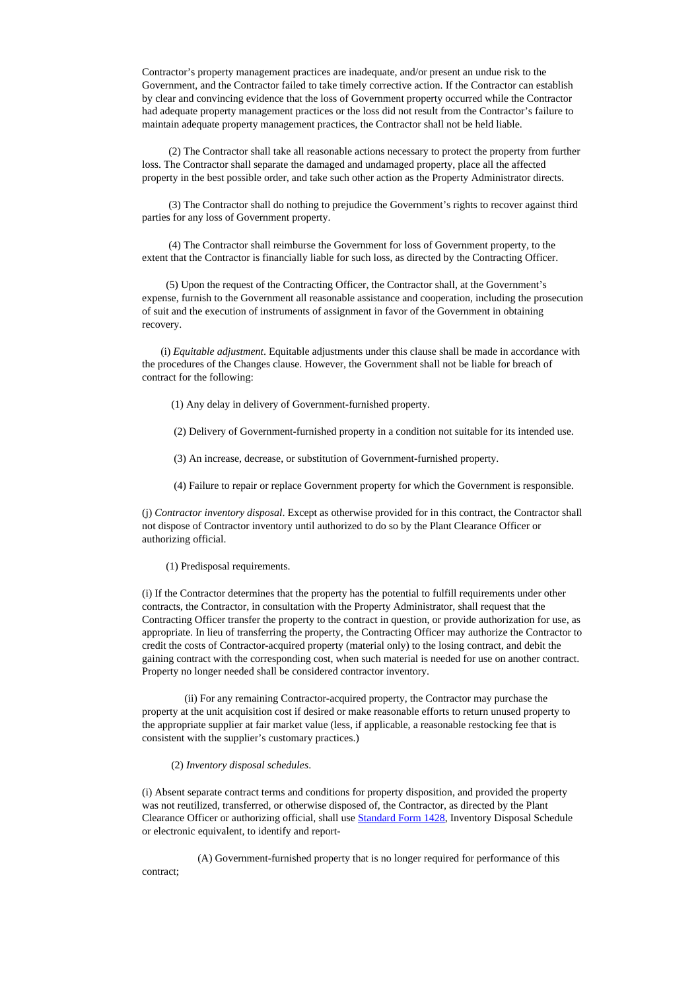Contractor's property management practices are inadequate, and/or present an undue risk to the Government, and the Contractor failed to take timely corrective action. If the Contractor can establish by clear and convincing evidence that the loss of Government property occurred while the Contractor had adequate property management practices or the loss did not result from the Contractor's failure to maintain adequate property management practices, the Contractor shall not be held liable.

(2) The Contractor shall take all reasonable actions necessary to protect the property from further loss. The Contractor shall separate the damaged and undamaged property, place all the affected property in the best possible order, and take such other action as the Property Administrator directs.

(3) The Contractor shall do nothing to prejudice the Government's rights to recover against third parties for any loss of Government property.

(4) The Contractor shall reimburse the Government for loss of Government property, to the extent that the Contractor is financially liable for such loss, as directed by the Contracting Officer.

(5) Upon the request of the Contracting Officer, the Contractor shall, at the Government's expense, furnish to the Government all reasonable assistance and cooperation, including the prosecution of suit and the execution of instruments of assignment in favor of the Government in obtaining recovery.

(i) *Equitable adjustment*. Equitable adjustments under this clause shall be made in accordance with the procedures of the Changes clause. However, the Government shall not be liable for breach of contract for the following:

(1) Any delay in delivery of Government-furnished property.

(2) Delivery of Government-furnished property in a condition not suitable for its intended use.

(3) An increase, decrease, or substitution of Government-furnished property.

(4) Failure to repair or replace Government property for which the Government is responsible.

(j) *Contractor inventory disposal*. Except as otherwise provided for in this contract, the Contractor shall not dispose of Contractor inventory until authorized to do so by the Plant Clearance Officer or authorizing official.

(1) Predisposal requirements.

(i) If the Contractor determines that the property has the potential to fulfill requirements under other contracts, the Contractor, in consultation with the Property Administrator, shall request that the Contracting Officer transfer the property to the contract in question, or provide authorization for use, as appropriate. In lieu of transferring the property, the Contracting Officer may authorize the Contractor to credit the costs of Contractor-acquired property (material only) to the losing contract, and debit the gaining contract with the corresponding cost, when such material is needed for use on another contract. Property no longer needed shall be considered contractor inventory.

(ii) For any remaining Contractor-acquired property, the Contractor may purchase the property at the unit acquisition cost if desired or make reasonable efforts to return unused property to the appropriate supplier at fair market value (less, if applicable, a reasonable restocking fee that is consistent with the supplier's customary practices.)

## (2) *Inventory disposal schedules*.

(i) Absent separate contract terms and conditions for property disposition, and provided the property was not reutilized, transferred, or otherwise disposed of, the Contractor, as directed by the Plant Clearance Officer or authorizing official, shall use **[Standard](https://www.gsa.gov/forms-library/inventory-disposal-schedule) Form 1428**, Inventory Disposal Schedule or electronic equivalent, to identify and report-

(A) Government-furnished property that is no longer required for performance of this contract;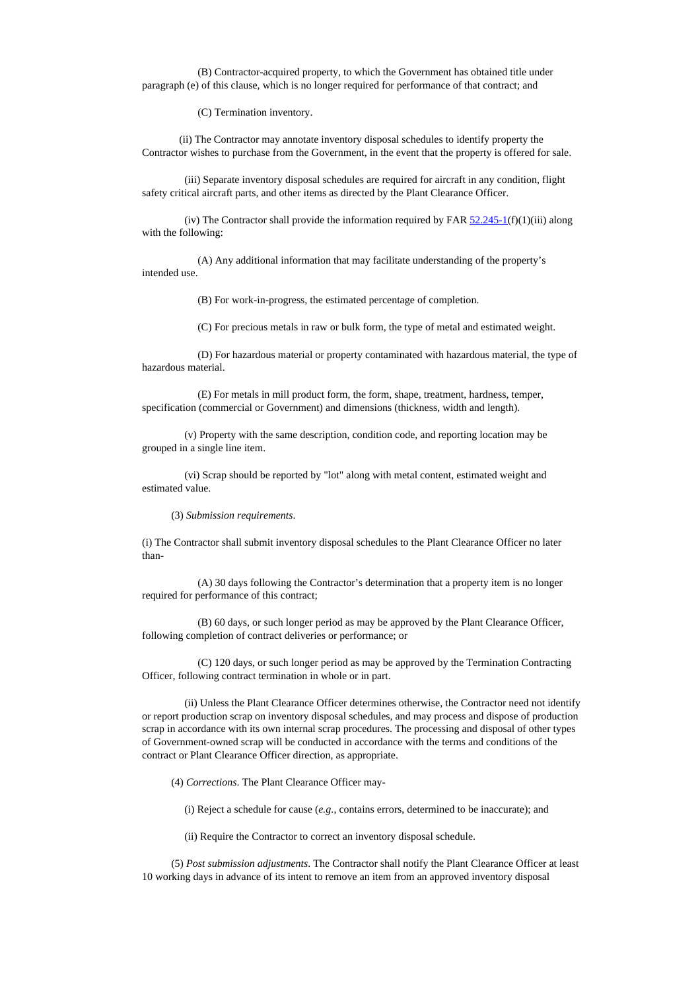(B) Contractor-acquired property, to which the Government has obtained title under paragraph (e) of this clause, which is no longer required for performance of that contract; and

(C) Termination inventory.

(ii) The Contractor may annotate inventory disposal schedules to identify property the Contractor wishes to purchase from the Government, in the event that the property is offered for sale.

(iii) Separate inventory disposal schedules are required for aircraft in any condition, flight safety critical aircraft parts, and other items as directed by the Plant Clearance Officer.

(iv) The Contractor shall provide the information required by FAR  $\frac{52.245-1(f)}{1}$  $\frac{52.245-1(f)}{1}$  $\frac{52.245-1(f)}{1}$ (iii) along with the following:

(A) Any additional information that may facilitate understanding of the property's intended use.

(B) For work-in-progress, the estimated percentage of completion.

(C) For precious metals in raw or bulk form, the type of metal and estimated weight.

(D) For hazardous material or property contaminated with hazardous material, the type of hazardous material.

(E) For metals in mill product form, the form, shape, treatment, hardness, temper, specification (commercial or Government) and dimensions (thickness, width and length).

(v) Property with the same description, condition code, and reporting location may be grouped in a single line item.

(vi) Scrap should be reported by "lot" along with metal content, estimated weight and estimated value.

(3) *Submission requirements*.

(i) The Contractor shall submit inventory disposal schedules to the Plant Clearance Officer no later than-

(A) 30 days following the Contractor's determination that a property item is no longer required for performance of this contract;

(B) 60 days, or such longer period as may be approved by the Plant Clearance Officer, following completion of contract deliveries or performance; or

(C) 120 days, or such longer period as may be approved by the Termination Contracting Officer, following contract termination in whole or in part.

(ii) Unless the Plant Clearance Officer determines otherwise, the Contractor need not identify or report production scrap on inventory disposal schedules, and may process and dispose of production scrap in accordance with its own internal scrap procedures. The processing and disposal of other types of Government-owned scrap will be conducted in accordance with the terms and conditions of the contract or Plant Clearance Officer direction, as appropriate.

(4) *Corrections*. The Plant Clearance Officer may-

(i) Reject a schedule for cause (*e.g.*, contains errors, determined to be inaccurate); and

(ii) Require the Contractor to correct an inventory disposal schedule.

(5) *Post submission adjustments*. The Contractor shall notify the Plant Clearance Officer at least 10 working days in advance of its intent to remove an item from an approved inventory disposal